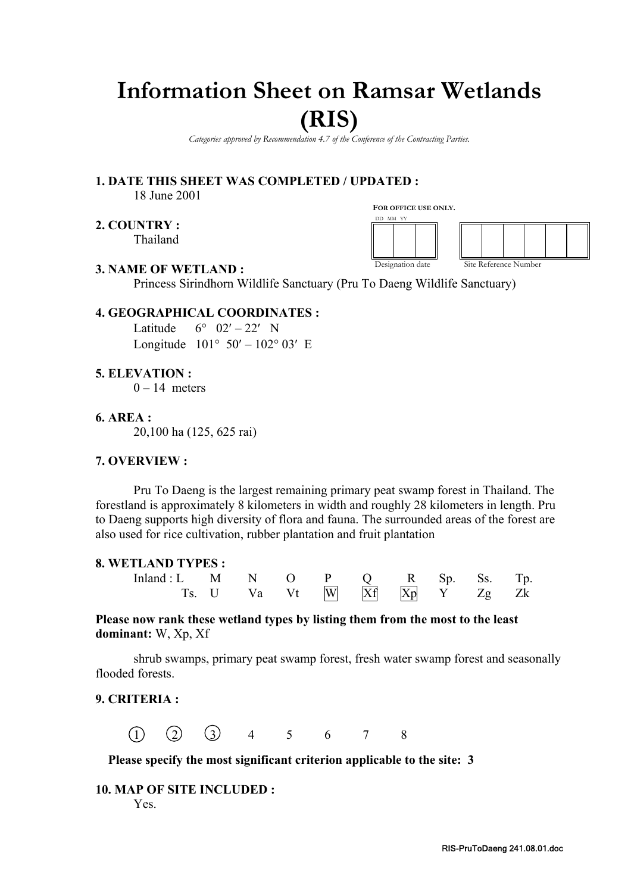# **Information Sheet on Ramsar Wetlands**

## **(RIS)**

*Categories approved by Recommendation 4.7 of the Conference of the Contracting Parties.*

**1. DATE THIS SHEET WAS COMPLETED / UPDATED :** 18 June 2001

**2. COUNTRY :** Thailand **FOR OFFICE USE ONLY.**



#### **3. NAME OF WETLAND :**

Princess Sirindhorn Wildlife Sanctuary (Pru To Daeng Wildlife Sanctuary)

#### **4. GEOGRAPHICAL COORDINATES :**

Latitude  $6^{\circ}$  02' – 22' N Longitude  $101^{\circ} 50' - 102^{\circ} 03'$  E

**5. ELEVATION :**

 $0 - 14$  meters

**6. AREA :**

20,100 ha (125, 625 rai)

#### **7. OVERVIEW :**

Pru To Daeng is the largest remaining primary peat swamp forest in Thailand. The forestland is approximately 8 kilometers in width and roughly 28 kilometers in length. Pru to Daeng supports high diversity of flora and fauna. The surrounded areas of the forest are also used for rice cultivation, rubber plantation and fruit plantation

#### **8. WETLAND TYPES :**

| Inland: L M N O P Q R Sp. Ss. Tp. |                                                                                     |  |  |  |  |
|-----------------------------------|-------------------------------------------------------------------------------------|--|--|--|--|
|                                   | Ts. U Va Vt $\overline{W}$ $\overline{Xf}$ $\overline{Xp}$ $\overline{Y}$ $Zg$ $Zk$ |  |  |  |  |

**Please now rank these wetland types by listing them from the most to the least dominant:** W, Xp, Xf

shrub swamps, primary peat swamp forest, fresh water swamp forest and seasonally flooded forests.

#### **9. CRITERIA :**

 $(1)$   $(2)$   $(3)$  4 5 6 7 8

**Please specify the most significant criterion applicable to the site: 3** 

#### **10. MAP OF SITE INCLUDED :**  Yes.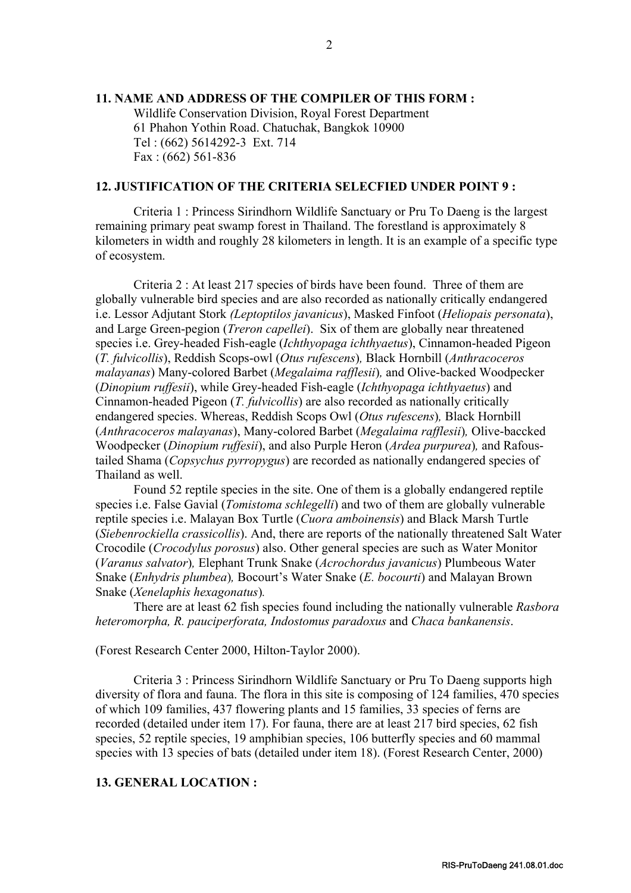#### **11. NAME AND ADDRESS OF THE COMPILER OF THIS FORM :**

Wildlife Conservation Division, Royal Forest Department 61 Phahon Yothin Road. Chatuchak, Bangkok 10900 Tel : (662) 5614292-3 Ext. 714 Fax : (662) 561-836

#### **12. JUSTIFICATION OF THE CRITERIA SELECFIED UNDER POINT 9 :**

Criteria 1 : Princess Sirindhorn Wildlife Sanctuary or Pru To Daeng is the largest remaining primary peat swamp forest in Thailand. The forestland is approximately 8 kilometers in width and roughly 28 kilometers in length. It is an example of a specific type of ecosystem.

Criteria 2 : At least 217 species of birds have been found. Three of them are globally vulnerable bird species and are also recorded as nationally critically endangered i.e. Lessor Adjutant Stork *(Leptoptilos javanicus*), Masked Finfoot (*Heliopais personata*), and Large Green-pegion (*Treron capellei*). Six of them are globally near threatened species i.e. Grey-headed Fish-eagle (*Ichthyopaga ichthyaetus*), Cinnamon-headed Pigeon (*T. fulvicollis*), Reddish Scops-owl (*Otus rufescens*)*,* Black Hornbill (*Anthracoceros malayanas*) Many-colored Barbet (*Megalaima rafflesii*)*,* and Olive-backed Woodpecker (*Dinopium ruffesii*), while Grey-headed Fish-eagle (*Ichthyopaga ichthyaetus*) and Cinnamon-headed Pigeon (*T. fulvicollis*) are also recorded as nationally critically endangered species. Whereas, Reddish Scops Owl (*Otus rufescens*)*,* Black Hornbill (*Anthracoceros malayanas*), Many-colored Barbet (*Megalaima rafflesii*)*,* Olive-baccked Woodpecker (*Dinopium ruffesii*), and also Purple Heron (*Ardea purpurea*)*,* and Rafoustailed Shama (*Copsychus pyrropygus*) are recorded as nationally endangered species of Thailand as well.

Found 52 reptile species in the site. One of them is a globally endangered reptile species i.e. False Gavial (*Tomistoma schlegelli*) and two of them are globally vulnerable reptile species i.e. Malayan Box Turtle (*Cuora amboinensis*) and Black Marsh Turtle (*Siebenrockiella crassicollis*). And, there are reports of the nationally threatened Salt Water Crocodile (*Crocodylus porosus*) also. Other general species are such as Water Monitor (*Varanus salvator*)*,* Elephant Trunk Snake (*Acrochordus javanicus*) Plumbeous Water Snake (*Enhydris plumbea*)*,* Bocourt's Water Snake (*E. bocourti*) and Malayan Brown Snake (*Xenelaphis hexagonatus*)*.*

There are at least 62 fish species found including the nationally vulnerable *Rasbora heteromorpha, R. pauciperforata, Indostomus paradoxus* and *Chaca bankanensis*.

(Forest Research Center 2000, Hilton-Taylor 2000).

Criteria 3 : Princess Sirindhorn Wildlife Sanctuary or Pru To Daeng supports high diversity of flora and fauna. The flora in this site is composing of 124 families, 470 species of which 109 families, 437 flowering plants and 15 families, 33 species of ferns are recorded (detailed under item 17). For fauna, there are at least 217 bird species, 62 fish species, 52 reptile species, 19 amphibian species, 106 butterfly species and 60 mammal species with 13 species of bats (detailed under item 18). (Forest Research Center, 2000)

#### **13. GENERAL LOCATION :**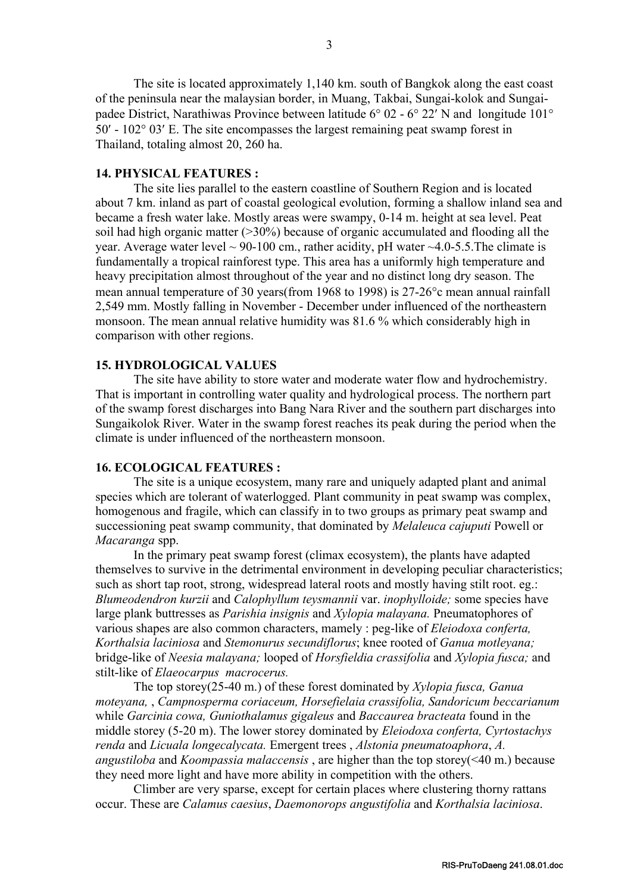The site is located approximately 1,140 km. south of Bangkok along the east coast of the peninsula near the malaysian border, in Muang, Takbai, Sungai-kolok and Sungaipadee District, Narathiwas Province between latitude 6° 02 - 6° 22′ N and longitude 101° 50′ - 102° 03′ E. The site encompasses the largest remaining peat swamp forest in Thailand, totaling almost 20, 260 ha.

#### **14. PHYSICAL FEATURES :**

The site lies parallel to the eastern coastline of Southern Region and is located about 7 km. inland as part of coastal geological evolution, forming a shallow inland sea and became a fresh water lake. Mostly areas were swampy, 0-14 m. height at sea level. Peat soil had high organic matter (>30%) because of organic accumulated and flooding all the year. Average water level  $\sim$  90-100 cm., rather acidity, pH water  $\sim$  4.0-5.5. The climate is fundamentally a tropical rainforest type. This area has a uniformly high temperature and heavy precipitation almost throughout of the year and no distinct long dry season. The mean annual temperature of 30 years(from 1968 to 1998) is 27-26°c mean annual rainfall 2,549 mm. Mostly falling in November - December under influenced of the northeastern monsoon. The mean annual relative humidity was 81.6 % which considerably high in comparison with other regions.

#### **15. HYDROLOGICAL VALUES**

The site have ability to store water and moderate water flow and hydrochemistry. That is important in controlling water quality and hydrological process. The northern part of the swamp forest discharges into Bang Nara River and the southern part discharges into Sungaikolok River. Water in the swamp forest reaches its peak during the period when the climate is under influenced of the northeastern monsoon.

#### **16. ECOLOGICAL FEATURES :**

The site is a unique ecosystem, many rare and uniquely adapted plant and animal species which are tolerant of waterlogged. Plant community in peat swamp was complex, homogenous and fragile, which can classify in to two groups as primary peat swamp and successioning peat swamp community, that dominated by *Melaleuca cajuputi* Powell or *Macaranga* spp.

In the primary peat swamp forest (climax ecosystem), the plants have adapted themselves to survive in the detrimental environment in developing peculiar characteristics; such as short tap root, strong, widespread lateral roots and mostly having stilt root. eg.: *Blumeodendron kurzii* and *Calophyllum teysmannii* var. *inophylloide;* some species have large plank buttresses as *Parishia insignis* and *Xylopia malayana.* Pneumatophores of various shapes are also common characters, mamely : peg-like of *Eleiodoxa conferta, Korthalsia laciniosa* and *Stemonurus secundiflorus*; knee rooted of *Ganua motleyana;* bridge-like of *Neesia malayana;* looped of *Horsfieldia crassifolia* and *Xylopia fusca;* and stilt-like of *Elaeocarpus macrocerus.*

The top storey(25-40 m.) of these forest dominated by *Xylopia fusca, Ganua moteyana,* , *Campnosperma coriaceum, Horsefielaia crassifolia, Sandoricum beccarianum* while *Garcinia cowa, Guniothalamus gigaleus* and *Baccaurea bracteata* found in the middle storey (5-20 m). The lower storey dominated by *Eleiodoxa conferta, Cyrtostachys renda* and *Licuala longecalycata.* Emergent trees , *Alstonia pneumatoaphora*, *A. angustiloba* and *Koompassia malaccensis* , are higher than the top storey(<40 m.) because they need more light and have more ability in competition with the others.

Climber are very sparse, except for certain places where clustering thorny rattans occur. These are *Calamus caesius*, *Daemonorops angustifolia* and *Korthalsia laciniosa*.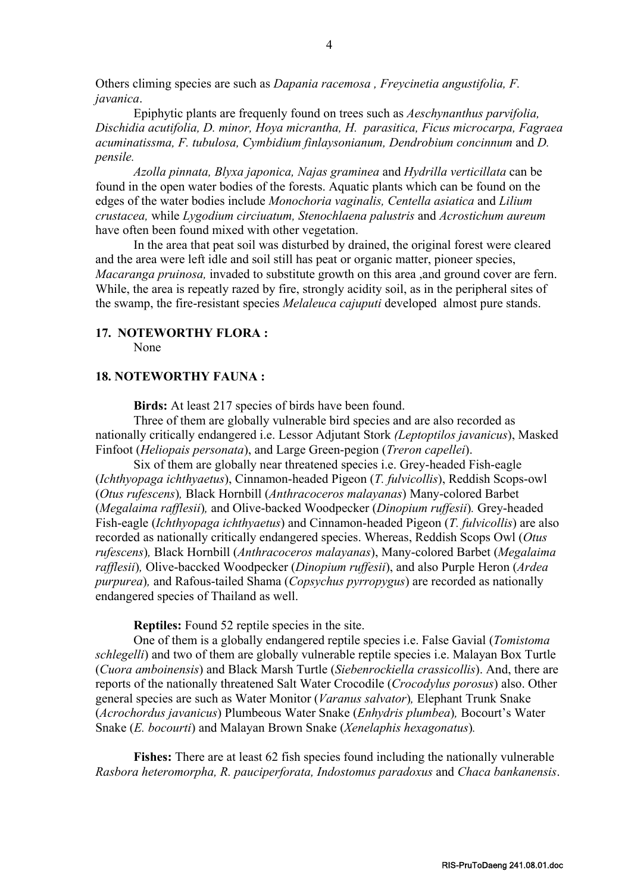Others climing species are such as *Dapania racemosa , Freycinetia angustifolia, F. javanica*.

Epiphytic plants are frequenly found on trees such as *Aeschynanthus parvifolia, Dischidia acutifolia, D. minor, Hoya micrantha, H. parasitica, Ficus microcarpa, Fagraea acuminatissma, F. tubulosa, Cymbidium finlaysonianum, Dendrobium concinnum* and *D. pensile.*

*Azolla pinnata, Blyxa japonica, Najas graminea* and *Hydrilla verticillata* can be found in the open water bodies of the forests. Aquatic plants which can be found on the edges of the water bodies include *Monochoria vaginalis, Centella asiatica* and *Lilium crustacea,* while *Lygodium circiuatum, Stenochlaena palustris* and *Acrostichum aureum* have often been found mixed with other vegetation.

In the area that peat soil was disturbed by drained, the original forest were cleared and the area were left idle and soil still has peat or organic matter, pioneer species, *Macaranga pruinosa,* invaded to substitute growth on this area ,and ground cover are fern. While, the area is repeatly razed by fire, strongly acidity soil, as in the peripheral sites of the swamp, the fire-resistant species *Melaleuca cajuputi* developed almost pure stands.

#### **17. NOTEWORTHY FLORA :**

None

#### **18. NOTEWORTHY FAUNA :**

**Birds:** At least 217 species of birds have been found.

Three of them are globally vulnerable bird species and are also recorded as nationally critically endangered i.e. Lessor Adjutant Stork *(Leptoptilos javanicus*), Masked Finfoot (*Heliopais personata*), and Large Green-pegion (*Treron capellei*).

Six of them are globally near threatened species i.e. Grey-headed Fish-eagle (*Ichthyopaga ichthyaetus*), Cinnamon-headed Pigeon (*T. fulvicollis*), Reddish Scops-owl (*Otus rufescens*)*,* Black Hornbill (*Anthracoceros malayanas*) Many-colored Barbet (*Megalaima rafflesii*)*,* and Olive-backed Woodpecker (*Dinopium ruffesii*)*.* Grey-headed Fish-eagle (*Ichthyopaga ichthyaetus*) and Cinnamon-headed Pigeon (*T. fulvicollis*) are also recorded as nationally critically endangered species. Whereas, Reddish Scops Owl (*Otus rufescens*)*,* Black Hornbill (*Anthracoceros malayanas*), Many-colored Barbet (*Megalaima rafflesii*)*,* Olive-baccked Woodpecker (*Dinopium ruffesii*), and also Purple Heron (*Ardea purpurea*)*,* and Rafous-tailed Shama (*Copsychus pyrropygus*) are recorded as nationally endangered species of Thailand as well.

**Reptiles:** Found 52 reptile species in the site.

One of them is a globally endangered reptile species i.e. False Gavial (*Tomistoma schlegelli*) and two of them are globally vulnerable reptile species i.e. Malayan Box Turtle (*Cuora amboinensis*) and Black Marsh Turtle (*Siebenrockiella crassicollis*). And, there are reports of the nationally threatened Salt Water Crocodile (*Crocodylus porosus*) also. Other general species are such as Water Monitor (*Varanus salvator*)*,* Elephant Trunk Snake (*Acrochordus javanicus*) Plumbeous Water Snake (*Enhydris plumbea*)*,* Bocourt's Water Snake (*E. bocourti*) and Malayan Brown Snake (*Xenelaphis hexagonatus*)*.*

**Fishes:** There are at least 62 fish species found including the nationally vulnerable *Rasbora heteromorpha, R. pauciperforata, Indostomus paradoxus* and *Chaca bankanensis*.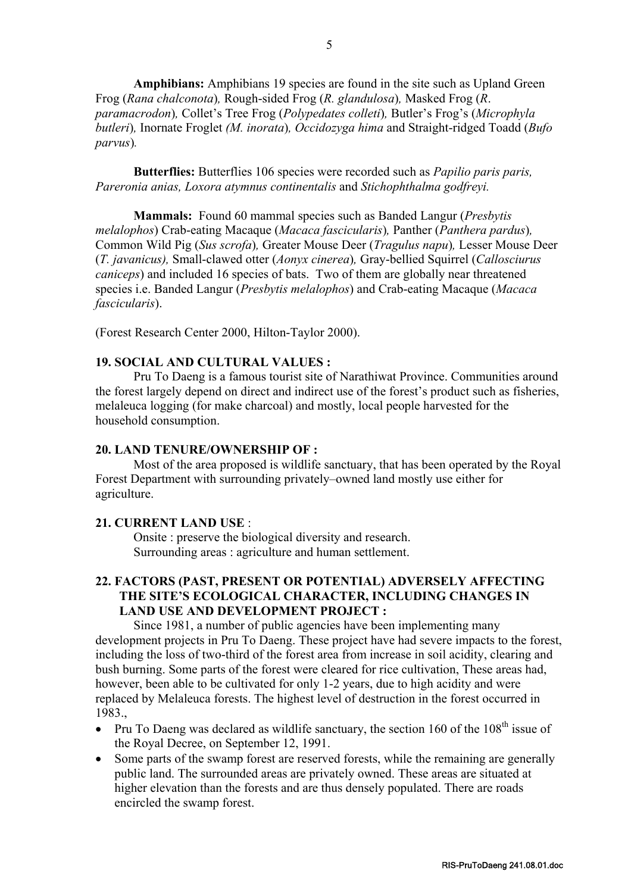**Amphibians:** Amphibians 19 species are found in the site such as Upland Green Frog (*Rana chalconota*)*,* Rough-sided Frog (*R. glandulosa*)*,* Masked Frog (*R*. *paramacrodon*)*,* Collet's Tree Frog (*Polypedates colleti*)*,* Butler's Frog's (*Microphyla butleri*)*,* Inornate Froglet *(M. inorata*)*, Occidozyga hima* and Straight-ridged Toadd (*Bufo parvus*)*.*

**Butterflies:** Butterflies 106 species were recorded such as *Papilio paris paris, Pareronia anias, Loxora atymnus continentalis* and *Stichophthalma godfreyi.*

**Mammals:** Found 60 mammal species such as Banded Langur (*Presbytis melalophos*) Crab-eating Macaque (*Macaca fascicularis*), Panther (*Panthera pardus*), Common Wild Pig (*Sus scrofa*)*,* Greater Mouse Deer (*Tragulus napu*)*,* Lesser Mouse Deer (*T. javanicus),* Small-clawed otter (*Aonyx cinerea*)*,* Gray-bellied Squirrel (*Callosciurus caniceps*) and included 16 species of bats. Two of them are globally near threatened species i.e. Banded Langur (*Presbytis melalophos*) and Crab-eating Macaque (*Macaca fascicularis*).

(Forest Research Center 2000, Hilton-Taylor 2000).

#### **19. SOCIAL AND CULTURAL VALUES :**

Pru To Daeng is a famous tourist site of Narathiwat Province. Communities around the forest largely depend on direct and indirect use of the forest's product such as fisheries, melaleuca logging (for make charcoal) and mostly, local people harvested for the household consumption.

#### **20. LAND TENURE/OWNERSHIP OF :**

Most of the area proposed is wildlife sanctuary, that has been operated by the Royal Forest Department with surrounding privately–owned land mostly use either for agriculture.

#### **21. CURRENT LAND USE** :

Onsite : preserve the biological diversity and research. Surrounding areas : agriculture and human settlement.

#### **22. FACTORS (PAST, PRESENT OR POTENTIAL) ADVERSELY AFFECTING THE SITE'S ECOLOGICAL CHARACTER, INCLUDING CHANGES IN LAND USE AND DEVELOPMENT PROJECT :**

Since 1981, a number of public agencies have been implementing many development projects in Pru To Daeng. These project have had severe impacts to the forest, including the loss of two-third of the forest area from increase in soil acidity, clearing and bush burning. Some parts of the forest were cleared for rice cultivation, These areas had, however, been able to be cultivated for only 1-2 years, due to high acidity and were replaced by Melaleuca forests. The highest level of destruction in the forest occurred in 1983.,

- Pru To Daeng was declared as wildlife sanctuary, the section 160 of the  $108<sup>th</sup>$  issue of the Royal Decree, on September 12, 1991.
- Some parts of the swamp forest are reserved forests, while the remaining are generally public land. The surrounded areas are privately owned. These areas are situated at higher elevation than the forests and are thus densely populated. There are roads encircled the swamp forest.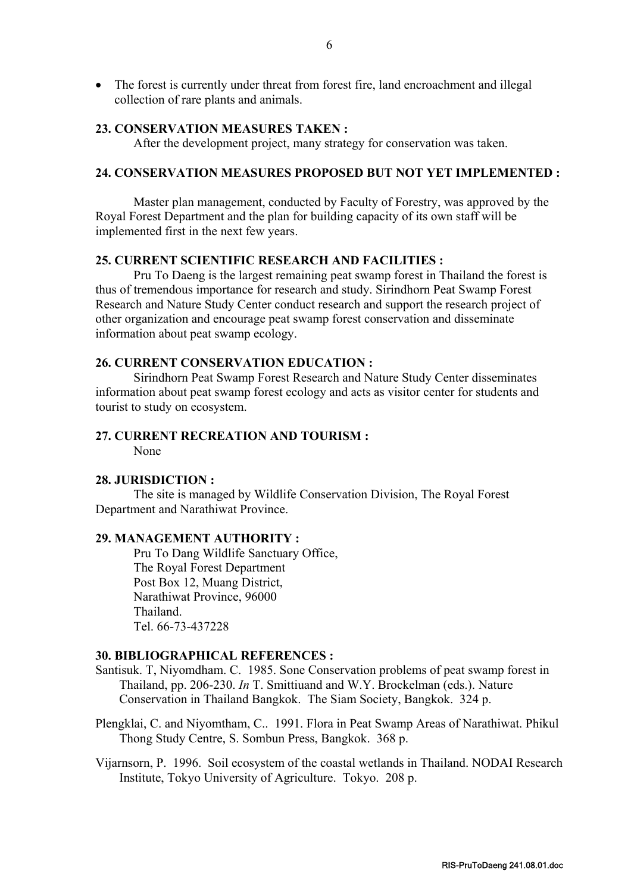• The forest is currently under threat from forest fire, land encroachment and illegal collection of rare plants and animals.

#### **23. CONSERVATION MEASURES TAKEN :**

After the development project, many strategy for conservation was taken.

#### **24. CONSERVATION MEASURES PROPOSED BUT NOT YET IMPLEMENTED :**

Master plan management, conducted by Faculty of Forestry, was approved by the Royal Forest Department and the plan for building capacity of its own staff will be implemented first in the next few years.

#### **25. CURRENT SCIENTIFIC RESEARCH AND FACILITIES :**

Pru To Daeng is the largest remaining peat swamp forest in Thailand the forest is thus of tremendous importance for research and study. Sirindhorn Peat Swamp Forest Research and Nature Study Center conduct research and support the research project of other organization and encourage peat swamp forest conservation and disseminate information about peat swamp ecology.

#### **26. CURRENT CONSERVATION EDUCATION :**

Sirindhorn Peat Swamp Forest Research and Nature Study Center disseminates information about peat swamp forest ecology and acts as visitor center for students and tourist to study on ecosystem.

### **27. CURRENT RECREATION AND TOURISM :**

None

#### **28. JURISDICTION :**

The site is managed by Wildlife Conservation Division, The Royal Forest Department and Narathiwat Province.

#### **29. MANAGEMENT AUTHORITY :**

Pru To Dang Wildlife Sanctuary Office, The Royal Forest Department Post Box 12, Muang District, Narathiwat Province, 96000 Thailand. Tel. 66-73-437228

#### **30. BIBLIOGRAPHICAL REFERENCES :**

- Santisuk. T, Niyomdham. C. 1985. Sone Conservation problems of peat swamp forest in Thailand, pp. 206-230. *In* T. Smittiuand and W.Y. Brockelman (eds.). Nature Conservation in Thailand Bangkok. The Siam Society, Bangkok. 324 p.
- Plengklai, C. and Niyomtham, C.. 1991. Flora in Peat Swamp Areas of Narathiwat. Phikul Thong Study Centre, S. Sombun Press, Bangkok. 368 p.
- Vijarnsorn, P. 1996. Soil ecosystem of the coastal wetlands in Thailand. NODAI Research Institute, Tokyo University of Agriculture. Tokyo. 208 p.